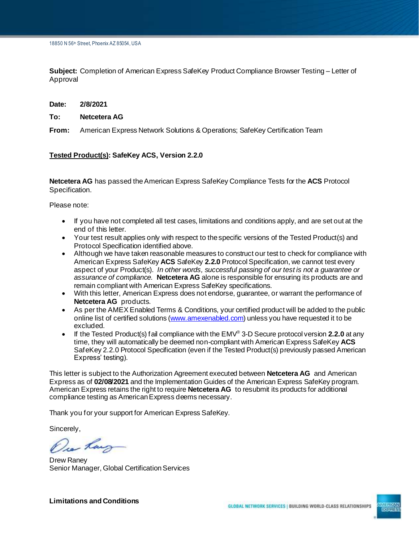**Subject:** Completion of American Express SafeKey Product Compliance Browser Testing – Letter of Approval

**Date: 2/8/2021**

## **To: Netcetera AG**

**From:** American Express Network Solutions & Operations; SafeKey Certification Team

## **Tested Product(s): SafeKey ACS, Version 2.2.0**

**Netcetera AG** has passed the American Express SafeKey Compliance Tests for the **ACS** Protocol Specification.

Please note:

- If you have not completed all test cases, limitations and conditions apply, and are set out at the end of this letter.
- Your test result applies only with respect to the specific versions of the Tested Product(s) and Protocol Specification identified above.
- Although we have taken reasonable measures to construct our test to check for compliance with American Express SafeKey **ACS** SafeKey **2.2.0** Protocol Specification, we cannot test every aspect of your Product(s). *In other words, successful passing of our test is not a guarantee or assurance of compliance.* **Netcetera AG** alone is responsible for ensuring its products are and remain compliant with American Express SafeKey specifications.
- With this letter, American Express does not endorse, guarantee, or warrant the performance of **Netcetera AG** products.
- As per the AMEX Enabled Terms & Conditions, your certified product will be added to the public online list of certified solutions [\(www.amexenabled.com](http://www.amexenabled.com/)) unless you have requested it to be excluded.
- If the Tested Product(s) fail compliance with the EMV® 3-D Secure protocol version **2.2.0** at any time, they will automatically be deemed non-compliant with American Express SafeKey **ACS** SafeKey 2.2.0 Protocol Specification (even if the Tested Product(s) previously passed American Express' testing).

This letter is subject to the Authorization Agreement executed between **Netcetera AG** and American Express as of **02/08/2021** and the Implementation Guides of the American Express SafeKey program. American Express retains the right to require **Netcetera AG** to resubmit its products for additional compliance testing as American Express deems necessary.

Thank you for your support for American Express SafeKey.

Sincerely,

Dear Rang

Drew Raney Senior Manager, Global Certification Services